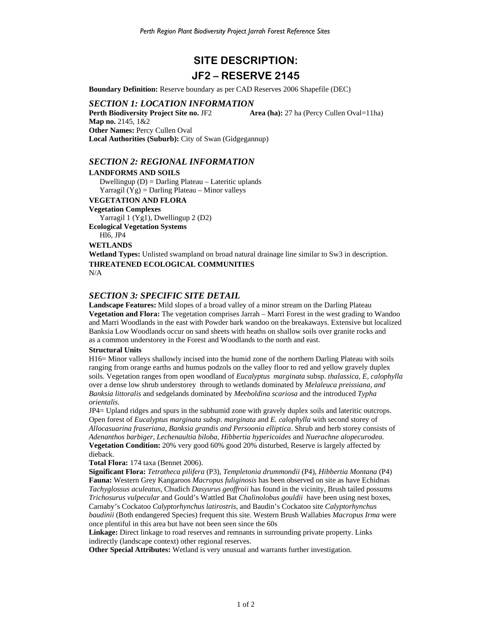# **SITE DESCRIPTION: JF2 – RESERVE 2145**

**Boundary Definition:** Reserve boundary as per CAD Reserves 2006 Shapefile (DEC)

#### *SECTION 1: LOCATION INFORMATION*

**Perth Biodiversity Project Site no. JF2 <b>Area (ha):** 27 ha (Percy Cullen Oval=11ha) **Map no.** 2145, 1&2 **Other Names:** Percy Cullen Oval **Local Authorities (Suburb):** City of Swan (Gidgegannup)

## *SECTION 2: REGIONAL INFORMATION*

## **LANDFORMS AND SOILS**

Dwellingup (D) = Darling Plateau – Lateritic uplands Yarragil  $(Yg)$  = Darling Plateau – Minor valleys

## **VEGETATION AND FLORA**

**Vegetation Complexes** 

Yarragil 1 (Yg1), Dwellingup 2 (D2)

**Ecological Vegetation Systems** 

## Hl6, JP4 **WETLANDS**

**Wetland Types:** Unlisted swampland on broad natural drainage line similar to Sw3 in description. **THREATENED ECOLOGICAL COMMUNITIES** 

N/A

# *SECTION 3: SPECIFIC SITE DETAIL*

**Landscape Features:** Mild slopes of a broad valley of a minor stream on the Darling Plateau **Vegetation and Flora:** The vegetation comprises Jarrah – Marri Forest in the west grading to Wandoo and Marri Woodlands in the east with Powder bark wandoo on the breakaways. Extensive but localized Banksia Low Woodlands occur on sand sheets with heaths on shallow soils over granite rocks and as a common understorey in the Forest and Woodlands to the north and east.

#### **Structural Units**

H16= Minor valleys shallowly incised into the humid zone of the northern Darling Plateau with soils ranging from orange earths and humus podzols on the valley floor to red and yellow gravely duplex soils. Vegetation ranges from open woodland of *Eucalyptus marginata* subsp. *thalassica, E, calophylla*  over a dense low shrub understorey through to wetlands dominated by *Melaleuca preissiana, and Banksia littoralis* and sedgelands dominated by *Meeboldina scariosa* and the introduced *Typha orientalis.* 

JP4= Upland ridges and spurs in the subhumid zone with gravely duplex soils and lateritic outcrops. Open forest of *Eucalyptus marginata subsp. marginata* and *E. calophylla* with second storey of *Allocasuarina fraseriana, Banksia grandis and Persoonia elliptica*. Shrub and herb storey consists of *Adenanthos barbiger, Lechenaultia biloba, Hibbertia hypericoides* and *Nuerachne alopecurodea.* **Vegetation Condition:** 20% very good 60% good 20% disturbed, Reserve is largely affected by dieback.

## **Total Flora:** 174 taxa (Bennet 2006).

**Significant Flora:** *Tetratheca pilifera* (P3), *Templetonia drummondii* (P4), *Hibbertia Montana* (P4) **Fauna:** Western Grey Kangaroos *Macropus fuliginosis* has been observed on site as have Echidnas *Tachyglossus aculeatus*, Chudich *Dasyurus geoffroii* has found in the vicinity, Brush tailed possums *Trichosurus vulpecular* and Gould's Wattled Bat *Chalinolobus gouldii* have been using nest boxes, Carnaby's Cockatoo *Calyptorhynchus latirostris*, and Baudin's Cockatoo site *Calyptorhynchus baudinii* (Both endangered Species) frequent this site. Western Brush Wallabies *Macropus Irma* were once plentiful in this area but have not been seen since the 60s

**Linkage:** Direct linkage to road reserves and remnants in surrounding private property. Links indirectly (landscape context) other regional reserves.

**Other Special Attributes:** Wetland is very unusual and warrants further investigation.